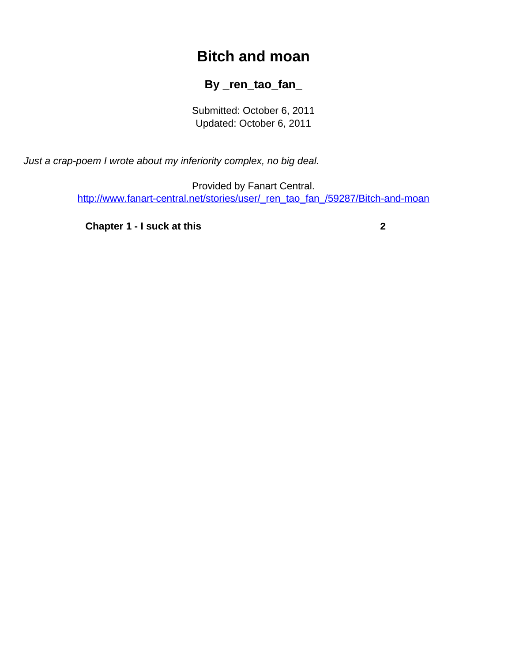## **Bitch and moan**

## **By \_ren\_tao\_fan\_**

Submitted: October 6, 2011 Updated: October 6, 2011

<span id="page-0-0"></span>Just a crap-poem I wrote about my inferiority complex, no big deal.

Provided by Fanart Central. [http://www.fanart-central.net/stories/user/\\_ren\\_tao\\_fan\\_/59287/Bitch-and-moan](#page-0-0)

**[Chapter 1 - I suck at this](#page-1-0) [2](#page-1-0)**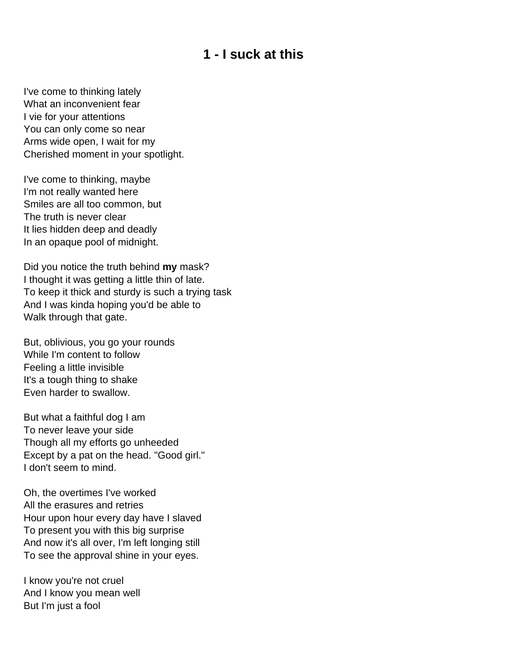## **1 - I suck at this**

<span id="page-1-0"></span>I've come to thinking lately What an inconvenient fear I vie for your attentions You can only come so near Arms wide open, I wait for my Cherished moment in your spotlight.

I've come to thinking, maybe I'm not really wanted here Smiles are all too common, but The truth is never clear It lies hidden deep and deadly In an opaque pool of midnight.

Did you notice the truth behind **my** mask? I thought it was getting a little thin of late. To keep it thick and sturdy is such a trying task And I was kinda hoping you'd be able to Walk through that gate.

But, oblivious, you go your rounds While I'm content to follow Feeling a little invisible It's a tough thing to shake Even harder to swallow.

But what a faithful dog I am To never leave your side Though all my efforts go unheeded Except by a pat on the head. "Good girl." I don't seem to mind.

Oh, the overtimes I've worked All the erasures and retries Hour upon hour every day have I slaved To present you with this big surprise And now it's all over, I'm left longing still To see the approval shine in your eyes.

I know you're not cruel And I know you mean well But I'm just a fool